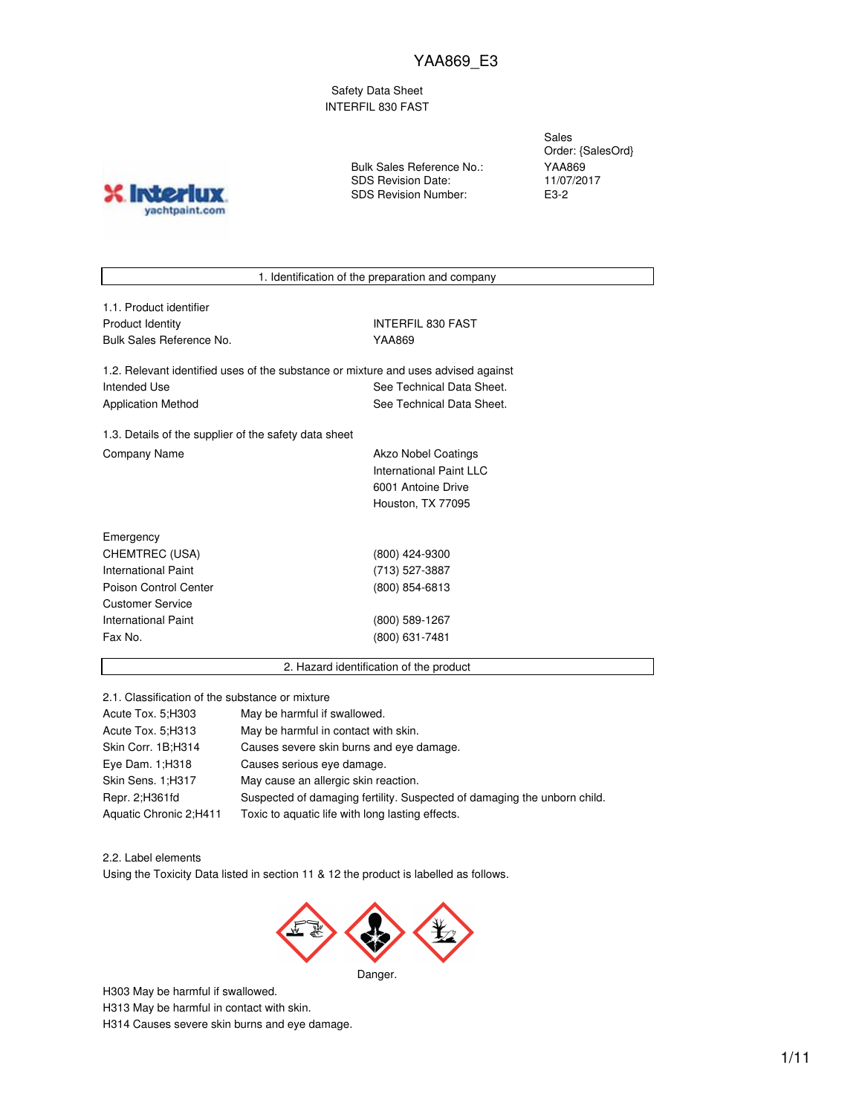Safety Data Sheet INTERFIL 830 FAST

**INTO** yachtpaint.com Bulk Sales Reference No.: SDS Revision Date: SDS Revision Number:

Sales Order: {SalesOrd} YAA869 11/07/2017 E3-2

1. Identification of the preparation and company

1.1. Product identifier Product Identity **INTERFIL 830 FAST** Bulk Sales Reference No. YAA869

1.2. Relevant identified uses of the substance or mixture and uses advised against Intended Use **See Technical Data Sheet.** See Technical Data Sheet. Application Method See Technical Data Sheet.

1.3. Details of the supplier of the safety data sheet Company Name **Akzo Nobel Coatings** 

International Paint LLC 6001 Antoine Drive Houston, TX 77095

| Emergency                  |                |
|----------------------------|----------------|
| CHEMTREC (USA)             | (800) 424-9300 |
| International Paint        | (713) 527-3887 |
| Poison Control Center      | (800) 854-6813 |
| <b>Customer Service</b>    |                |
| <b>International Paint</b> | (800) 589-1267 |
| Fax No.                    | (800) 631-7481 |
|                            |                |

2. Hazard identification of the product

2.1. Classification of the substance or mixture

| Acute Tox. 5:H303      | May be harmful if swallowed.                                             |
|------------------------|--------------------------------------------------------------------------|
| Acute Tox. 5: H313     | May be harmful in contact with skin.                                     |
| Skin Corr. 1B;H314     | Causes severe skin burns and eye damage.                                 |
| Eye Dam. 1; H318       | Causes serious eye damage.                                               |
| Skin Sens. 1;H317      | May cause an allergic skin reaction.                                     |
| Repr. 2; H361fd        | Suspected of damaging fertility. Suspected of damaging the unborn child. |
| Aquatic Chronic 2;H411 | Toxic to aquatic life with long lasting effects.                         |

2.2. Label elements

Using the Toxicity Data listed in section 11 & 12 the product is labelled as follows.



H303 May be harmful if swallowed.

H313 May be harmful in contact with skin.

H314 Causes severe skin burns and eye damage.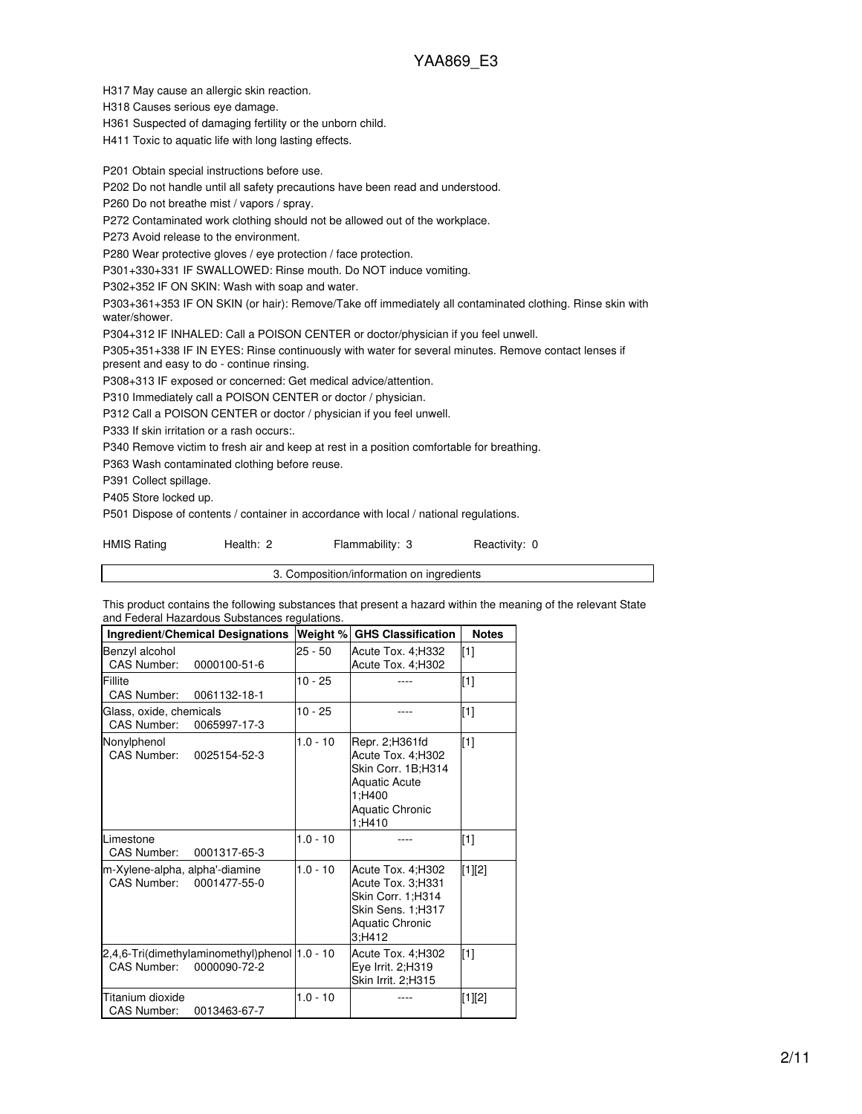H317 May cause an allergic skin reaction.

H318 Causes serious eye damage.

H361 Suspected of damaging fertility or the unborn child.

H411 Toxic to aquatic life with long lasting effects.

P201 Obtain special instructions before use.

P202 Do not handle until all safety precautions have been read and understood.

P260 Do not breathe mist / vapors / spray.

P272 Contaminated work clothing should not be allowed out of the workplace.

P273 Avoid release to the environment.

P280 Wear protective gloves / eye protection / face protection.

P301+330+331 IF SWALLOWED: Rinse mouth. Do NOT induce vomiting.

P302+352 IF ON SKIN: Wash with soap and water.

P303+361+353 IF ON SKIN (or hair): Remove/Take off immediately all contaminated clothing. Rinse skin with water/shower.

P304+312 IF INHALED: Call a POISON CENTER or doctor/physician if you feel unwell.

P305+351+338 IF IN EYES: Rinse continuously with water for several minutes. Remove contact lenses if present and easy to do - continue rinsing.

P308+313 IF exposed or concerned: Get medical advice/attention.

P310 Immediately call a POISON CENTER or doctor / physician.

P312 Call a POISON CENTER or doctor / physician if you feel unwell.

P333 If skin irritation or a rash occurs:.

P340 Remove victim to fresh air and keep at rest in a position comfortable for breathing.

P363 Wash contaminated clothing before reuse.

P391 Collect spillage.

P405 Store locked up.

P501 Dispose of contents / container in accordance with local / national regulations.

| <b>HMIS Rating</b> | Health: 2 | Flammability: 3 | Reactivity: 0 |
|--------------------|-----------|-----------------|---------------|
|                    |           |                 |               |

3. Composition/information on ingredients

This product contains the following substances that present a hazard within the meaning of the relevant State and Federal Hazardous Substances regulations.

| <b>Ingredient/Chemical Designations</b>                                      | Weight %   | <b>GHS Classification</b>                                                                                                        | <b>Notes</b> |
|------------------------------------------------------------------------------|------------|----------------------------------------------------------------------------------------------------------------------------------|--------------|
| Benzyl alcohol<br>CAS Number:<br>0000100-51-6                                | $25 - 50$  | Acute Tox. 4; H332<br>Acute Tox. 4;H302                                                                                          | [1]          |
| Fillite<br>CAS Number:<br>0061132-18-1                                       | $10 - 25$  |                                                                                                                                  | $[1]$        |
| Glass, oxide, chemicals<br>CAS Number:<br>0065997-17-3                       | $10 - 25$  |                                                                                                                                  | $[1]$        |
| Nonylphenol<br><b>CAS Number:</b><br>0025154-52-3                            | $1.0 - 10$ | Repr. 2; H361fd<br>Acute Tox. 4;H302<br>Skin Corr. 1B;H314<br><b>Aquatic Acute</b><br>1;H400<br><b>Aquatic Chronic</b><br>1;H410 | $[1]$        |
| Limestone<br>CAS Number:<br>0001317-65-3                                     | $1.0 - 10$ |                                                                                                                                  | [1]          |
| m-Xylene-alpha, alpha'-diamine<br>CAS Number:<br>0001477-55-0                | $1.0 - 10$ | Acute Tox. 4; H302<br>Acute Tox. 3;H331<br>Skin Corr. 1;H314<br>Skin Sens. 1;H317<br><b>Aquatic Chronic</b><br>3:H412            | [1][2]       |
| 2,4,6-Tri(dimethylaminomethyl)phenol 1.0 - 10<br>CAS Number:<br>0000090-72-2 |            | Acute Tox. 4;H302<br>Eye Irrit. 2;H319<br>Skin Irrit. 2;H315                                                                     | [1]          |
| Titanium dioxide<br><b>CAS Number:</b><br>0013463-67-7                       | $1.0 - 10$ |                                                                                                                                  | [1][2]       |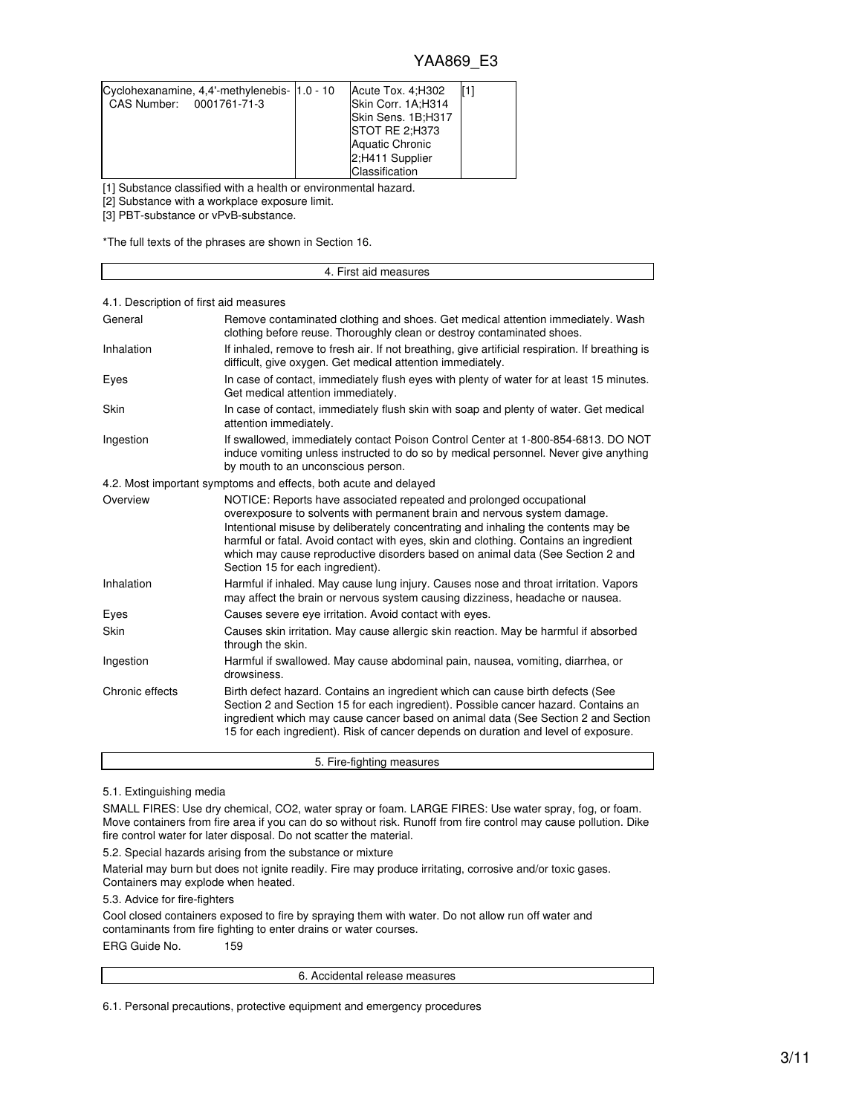| Cyclohexanamine, 4,4'-methylenebis- 1.0 - 10 | Acute Tox. 4: H302     |  |
|----------------------------------------------|------------------------|--|
| CAS Number: 0001761-71-3                     | Skin Corr. 1A;H314     |  |
|                                              | Skin Sens. 1B;H317     |  |
|                                              | <b>ISTOT RE 2:H373</b> |  |
|                                              | <b>Aquatic Chronic</b> |  |
|                                              | 2:H411 Supplier        |  |
|                                              | Classification         |  |

[1] Substance classified with a health or environmental hazard.

[2] Substance with a workplace exposure limit.

[3] PBT-substance or vPvB-substance.

Г

\*The full texts of the phrases are shown in Section 16.

|                                        | 4. First aid measures                                                                                                                                                                                                                                                                                                                                                                                                                              |
|----------------------------------------|----------------------------------------------------------------------------------------------------------------------------------------------------------------------------------------------------------------------------------------------------------------------------------------------------------------------------------------------------------------------------------------------------------------------------------------------------|
| 4.1. Description of first aid measures |                                                                                                                                                                                                                                                                                                                                                                                                                                                    |
| General                                | Remove contaminated clothing and shoes. Get medical attention immediately. Wash<br>clothing before reuse. Thoroughly clean or destroy contaminated shoes.                                                                                                                                                                                                                                                                                          |
| Inhalation                             | If inhaled, remove to fresh air. If not breathing, give artificial respiration. If breathing is<br>difficult, give oxygen. Get medical attention immediately.                                                                                                                                                                                                                                                                                      |
| Eyes                                   | In case of contact, immediately flush eyes with plenty of water for at least 15 minutes.<br>Get medical attention immediately.                                                                                                                                                                                                                                                                                                                     |
| Skin                                   | In case of contact, immediately flush skin with soap and plenty of water. Get medical<br>attention immediately.                                                                                                                                                                                                                                                                                                                                    |
| Ingestion                              | If swallowed, immediately contact Poison Control Center at 1-800-854-6813. DO NOT<br>induce vomiting unless instructed to do so by medical personnel. Never give anything<br>by mouth to an unconscious person.                                                                                                                                                                                                                                    |
|                                        | 4.2. Most important symptoms and effects, both acute and delayed                                                                                                                                                                                                                                                                                                                                                                                   |
| Overview                               | NOTICE: Reports have associated repeated and prolonged occupational<br>overexposure to solvents with permanent brain and nervous system damage.<br>Intentional misuse by deliberately concentrating and inhaling the contents may be<br>harmful or fatal. Avoid contact with eyes, skin and clothing. Contains an ingredient<br>which may cause reproductive disorders based on animal data (See Section 2 and<br>Section 15 for each ingredient). |
| Inhalation                             | Harmful if inhaled. May cause lung injury. Causes nose and throat irritation. Vapors<br>may affect the brain or nervous system causing dizziness, headache or nausea.                                                                                                                                                                                                                                                                              |
| Eyes                                   | Causes severe eye irritation. Avoid contact with eyes.                                                                                                                                                                                                                                                                                                                                                                                             |
| Skin                                   | Causes skin irritation. May cause allergic skin reaction. May be harmful if absorbed<br>through the skin.                                                                                                                                                                                                                                                                                                                                          |
| Ingestion                              | Harmful if swallowed. May cause abdominal pain, nausea, vomiting, diarrhea, or<br>drowsiness.                                                                                                                                                                                                                                                                                                                                                      |
| Chronic effects                        | Birth defect hazard. Contains an ingredient which can cause birth defects (See<br>Section 2 and Section 15 for each ingredient). Possible cancer hazard. Contains an<br>ingredient which may cause cancer based on animal data (See Section 2 and Section<br>15 for each ingredient). Risk of cancer depends on duration and level of exposure.                                                                                                    |
|                                        | 5. Fire-fighting measures                                                                                                                                                                                                                                                                                                                                                                                                                          |

5.1. Extinguishing media

SMALL FIRES: Use dry chemical, CO2, water spray or foam. LARGE FIRES: Use water spray, fog, or foam. Move containers from fire area if you can do so without risk. Runoff from fire control may cause pollution. Dike fire control water for later disposal. Do not scatter the material.

5.2. Special hazards arising from the substance or mixture

Material may burn but does not ignite readily. Fire may produce irritating, corrosive and/or toxic gases. Containers may explode when heated.

5.3. Advice for fire-fighters

Cool closed containers exposed to fire by spraying them with water. Do not allow run off water and contaminants from fire fighting to enter drains or water courses. ERG Guide No. 159

6. Accidental release measures

6.1. Personal precautions, protective equipment and emergency procedures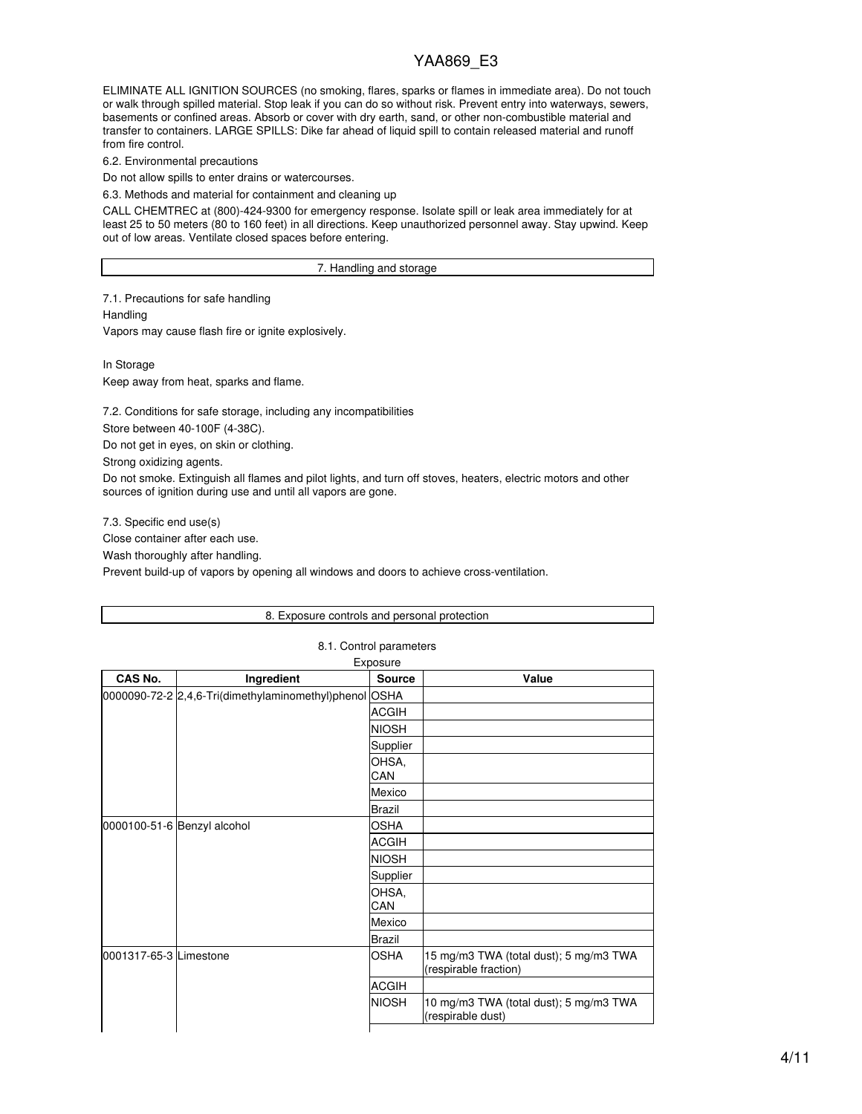ELIMINATE ALL IGNITION SOURCES (no smoking, flares, sparks or flames in immediate area). Do not touch or walk through spilled material. Stop leak if you can do so without risk. Prevent entry into waterways, sewers, basements or confined areas. Absorb or cover with dry earth, sand, or other non-combustible material and transfer to containers. LARGE SPILLS: Dike far ahead of liquid spill to contain released material and runoff from fire control.

6.2. Environmental precautions

Do not allow spills to enter drains or watercourses.

6.3. Methods and material for containment and cleaning up

CALL CHEMTREC at (800)-424-9300 for emergency response. Isolate spill or leak area immediately for at least 25 to 50 meters (80 to 160 feet) in all directions. Keep unauthorized personnel away. Stay upwind. Keep out of low areas. Ventilate closed spaces before entering.

#### 7. Handling and storage

7.1. Precautions for safe handling **Handling** Vapors may cause flash fire or ignite explosively.

In Storage Keep away from heat, sparks and flame.

7.2. Conditions for safe storage, including any incompatibilities

Store between 40-100F (4-38C).

Do not get in eyes, on skin or clothing.

Strong oxidizing agents.

Do not smoke. Extinguish all flames and pilot lights, and turn off stoves, heaters, electric motors and other sources of ignition during use and until all vapors are gone.

7.3. Specific end use(s) Close container after each use. Wash thoroughly after handling. Prevent build-up of vapors by opening all windows and doors to achieve cross-ventilation.

#### 8. Exposure controls and personal protection

| CAS No.                | Ingredient                                             | <b>Source</b> | Value                                                           |
|------------------------|--------------------------------------------------------|---------------|-----------------------------------------------------------------|
|                        | 0000090-72-2 2,4,6-Tri(dimethylaminomethyl)phenol OSHA |               |                                                                 |
|                        |                                                        | <b>ACGIH</b>  |                                                                 |
|                        |                                                        | <b>NIOSH</b>  |                                                                 |
|                        |                                                        | Supplier      |                                                                 |
|                        |                                                        | OHSA,<br>CAN  |                                                                 |
|                        |                                                        | Mexico        |                                                                 |
|                        |                                                        | <b>Brazil</b> |                                                                 |
|                        | 0000100-51-6 Benzyl alcohol                            | OSHA          |                                                                 |
|                        |                                                        | <b>ACGIH</b>  |                                                                 |
|                        |                                                        | <b>NIOSH</b>  |                                                                 |
|                        |                                                        | Supplier      |                                                                 |
|                        |                                                        | OHSA.<br>CAN  |                                                                 |
|                        |                                                        | Mexico        |                                                                 |
|                        |                                                        | <b>Brazil</b> |                                                                 |
| 0001317-65-3 Limestone |                                                        | <b>OSHA</b>   | 15 mg/m3 TWA (total dust); 5 mg/m3 TWA<br>(respirable fraction) |
|                        |                                                        | <b>ACGIH</b>  |                                                                 |
|                        |                                                        | <b>NIOSH</b>  | 10 mg/m3 TWA (total dust); 5 mg/m3 TWA<br>(respirable dust)     |

#### 8.1. Control parameters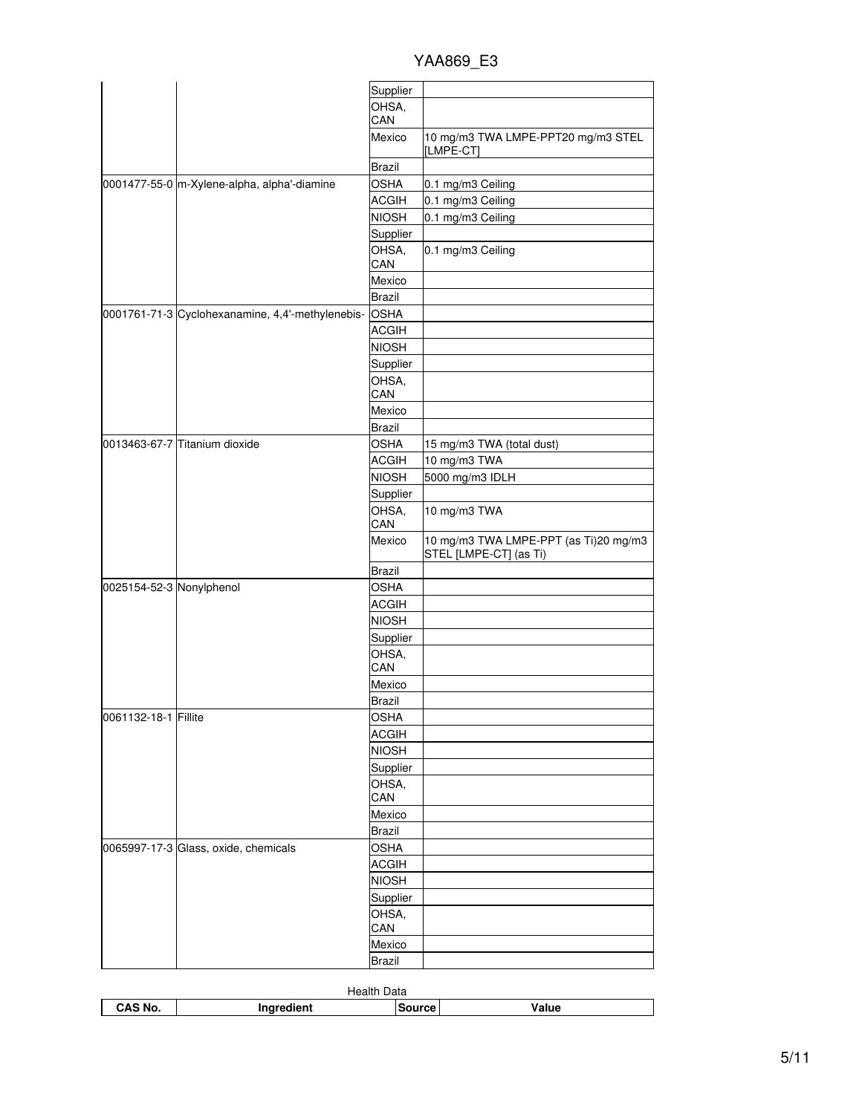YAA869\_E3

|                          |                                                  | Supplier      |                                                                 |
|--------------------------|--------------------------------------------------|---------------|-----------------------------------------------------------------|
|                          |                                                  | OHSA,<br>CAN  |                                                                 |
|                          |                                                  | Mexico        | 10 mg/m3 TWA LMPE-PPT20 mg/m3 STEL<br>[LMPE-CT]                 |
|                          |                                                  | <b>Brazil</b> |                                                                 |
|                          | 0001477-55-0 m-Xylene-alpha, alpha'-diamine      | OSHA          | 0.1 mg/m3 Ceiling                                               |
|                          |                                                  | ACGIH         | 0.1 mg/m3 Ceiling                                               |
|                          |                                                  | <b>NIOSH</b>  | 0.1 mg/m3 Ceiling                                               |
|                          |                                                  | Supplier      |                                                                 |
|                          |                                                  | OHSA,<br>CAN  | 0.1 mg/m3 Ceiling                                               |
|                          |                                                  | Mexico        |                                                                 |
|                          |                                                  | <b>Brazil</b> |                                                                 |
|                          | 0001761-71-3 Cyclohexanamine, 4,4'-methylenebis- | <b>OSHA</b>   |                                                                 |
|                          |                                                  | <b>ACGIH</b>  |                                                                 |
|                          |                                                  | <b>NIOSH</b>  |                                                                 |
|                          |                                                  | Supplier      |                                                                 |
|                          |                                                  | OHSA,<br>CAN  |                                                                 |
|                          |                                                  | Mexico        |                                                                 |
|                          |                                                  | <b>Brazil</b> |                                                                 |
|                          | 0013463-67-7 Titanium dioxide                    | OSHA          | 15 mg/m3 TWA (total dust)                                       |
|                          |                                                  | ACGIH         | 10 mg/m3 TWA                                                    |
|                          |                                                  | <b>NIOSH</b>  | 5000 mg/m3 IDLH                                                 |
|                          |                                                  | Supplier      |                                                                 |
|                          |                                                  | OHSA,<br>CAN  | 10 mg/m3 TWA                                                    |
|                          |                                                  | Mexico        | 10 mg/m3 TWA LMPE-PPT (as Ti)20 mg/m3<br>STEL [LMPE-CT] (as Ti) |
|                          |                                                  | <b>Brazil</b> |                                                                 |
| 0025154-52-3 Nonylphenol |                                                  | OSHA          |                                                                 |
|                          |                                                  | <b>ACGIH</b>  |                                                                 |
|                          |                                                  | <b>NIOSH</b>  |                                                                 |
|                          |                                                  | Supplier      |                                                                 |
|                          |                                                  | OHSA,<br>CAN  |                                                                 |
|                          |                                                  | Mexico        |                                                                 |
|                          |                                                  | Brazil        |                                                                 |
| 0061132-18-1 Fillite     |                                                  | OSHA          |                                                                 |
|                          |                                                  | <b>ACGIH</b>  |                                                                 |
|                          |                                                  | <b>NIOSH</b>  |                                                                 |
|                          |                                                  | Supplier      |                                                                 |
|                          |                                                  | OHSA,<br>CAN  |                                                                 |
|                          |                                                  | Mexico        |                                                                 |
|                          |                                                  | <b>Brazil</b> |                                                                 |
|                          | 0065997-17-3 Glass, oxide, chemicals             | <b>OSHA</b>   |                                                                 |
|                          |                                                  | <b>ACGIH</b>  |                                                                 |
|                          |                                                  | <b>NIOSH</b>  |                                                                 |
|                          |                                                  | Supplier      |                                                                 |
|                          |                                                  | OHSA,         |                                                                 |
|                          |                                                  | CAN           |                                                                 |
|                          |                                                  | Mexico        |                                                                 |
|                          |                                                  | <b>Brazil</b> |                                                                 |

| Data<br>Health |            |        |       |
|----------------|------------|--------|-------|
| CAS No.        | Inaredient | Source | Value |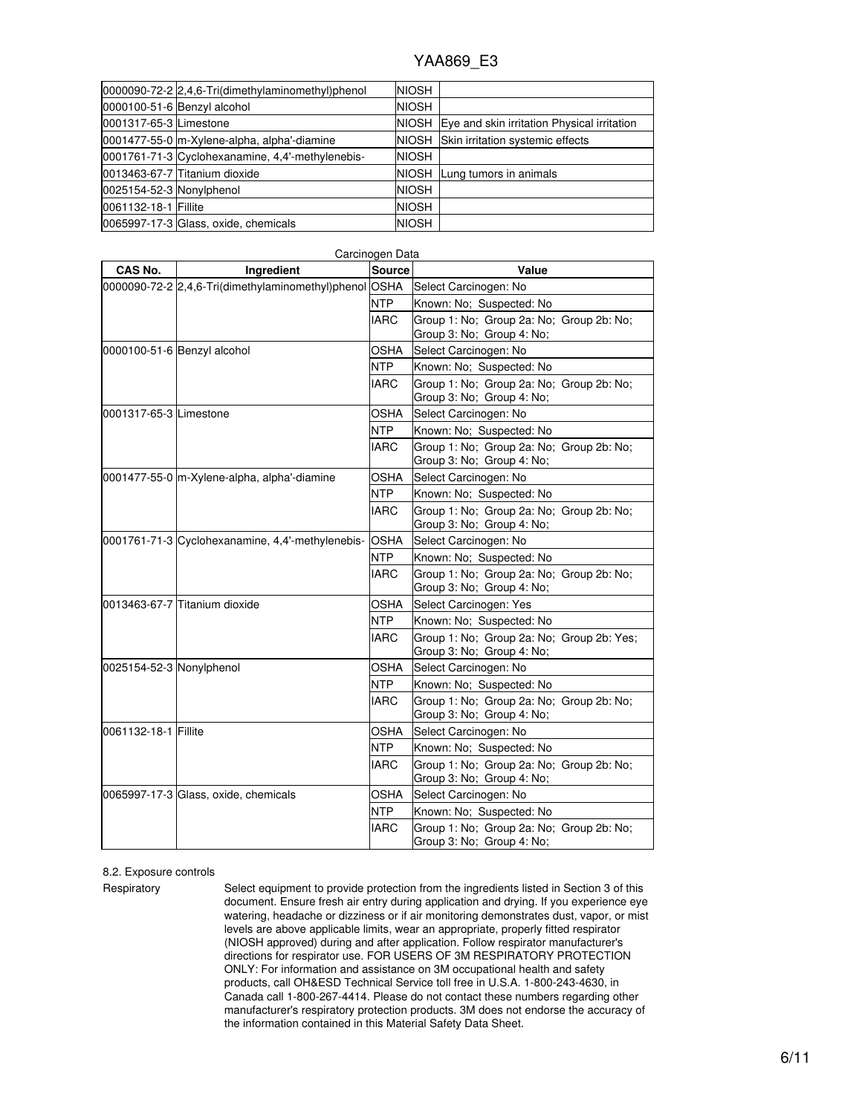|                          | 0000090-72-2 2,4,6-Tri(dimethylaminomethyl)phenol | <b>NIOSH</b> |                                                   |
|--------------------------|---------------------------------------------------|--------------|---------------------------------------------------|
|                          | 0000100-51-6 Benzyl alcohol                       | <b>NIOSH</b> |                                                   |
| 0001317-65-3 Limestone   |                                                   |              | NIOSH Eye and skin irritation Physical irritation |
|                          | 0001477-55-0 m-Xylene-alpha, alpha'-diamine       |              | NIOSH Skin irritation systemic effects            |
|                          | 0001761-71-3 Cyclohexanamine, 4,4'-methylenebis-  | <b>NIOSH</b> |                                                   |
|                          | 0013463-67-7 Titanium dioxide                     |              | NIOSH Lung tumors in animals                      |
| 0025154-52-3 Nonylphenol |                                                   | <b>NIOSH</b> |                                                   |
| 0061132-18-1 Fillite     |                                                   | <b>NIOSH</b> |                                                   |
|                          | 0065997-17-3 Glass, oxide, chemicals              | <b>NIOSH</b> |                                                   |

| CAS No.                  | Ingredient                                             | <b>Source</b> | Value                                                                  |
|--------------------------|--------------------------------------------------------|---------------|------------------------------------------------------------------------|
|                          | 0000090-72-2 2,4,6-Tri(dimethylaminomethyl)phenol OSHA |               | Select Carcinogen: No                                                  |
|                          |                                                        | <b>NTP</b>    | Known: No: Suspected: No                                               |
|                          |                                                        | <b>IARC</b>   | Group 1: No; Group 2a: No; Group 2b: No;<br>Group 3: No; Group 4: No;  |
|                          | 0000100-51-6 Benzyl alcohol                            | OSHA          | Select Carcinogen: No                                                  |
|                          |                                                        | NTP           | Known: No; Suspected: No                                               |
|                          |                                                        | IARC          | Group 1: No: Group 2a: No: Group 2b: No:<br>Group 3: No; Group 4: No;  |
| 0001317-65-3 Limestone   |                                                        | OSHA          | Select Carcinogen: No                                                  |
|                          |                                                        | <b>NTP</b>    | Known: No; Suspected: No                                               |
|                          |                                                        | <b>IARC</b>   | Group 1: No; Group 2a: No; Group 2b: No;<br>Group 3: No; Group 4: No;  |
|                          | 0001477-55-0 m-Xylene-alpha, alpha'-diamine            | OSHA          | Select Carcinogen: No                                                  |
|                          |                                                        | <b>NTP</b>    | Known: No; Suspected: No                                               |
|                          |                                                        | <b>IARC</b>   | Group 1: No; Group 2a: No; Group 2b: No;<br>Group 3: No; Group 4: No;  |
|                          | 0001761-71-3 Cyclohexanamine, 4,4'-methylenebis-       | <b>OSHA</b>   | Select Carcinogen: No                                                  |
|                          |                                                        | NTP           | Known: No; Suspected: No                                               |
|                          |                                                        | <b>IARC</b>   | Group 1: No: Group 2a: No: Group 2b: No:<br>Group 3: No; Group 4: No;  |
|                          | 0013463-67-7 Titanium dioxide                          | OSHA          | Select Carcinogen: Yes                                                 |
|                          |                                                        | <b>NTP</b>    | Known: No; Suspected: No                                               |
|                          |                                                        | <b>IARC</b>   | Group 1: No; Group 2a: No; Group 2b: Yes;<br>Group 3: No; Group 4: No; |
| 0025154-52-3 Nonylphenol |                                                        | OSHA          | Select Carcinogen: No                                                  |
|                          |                                                        | NTP           | Known: No; Suspected: No                                               |
|                          |                                                        | <b>IARC</b>   | Group 1: No; Group 2a: No; Group 2b: No;<br>Group 3: No; Group 4: No;  |
| 0061132-18-1 Fillite     |                                                        | <b>OSHA</b>   | Select Carcinogen: No                                                  |
|                          |                                                        | <b>NTP</b>    | Known: No; Suspected: No                                               |
|                          |                                                        | <b>IARC</b>   | Group 1: No: Group 2a: No: Group 2b: No:<br>Group 3: No; Group 4: No;  |
|                          | 0065997-17-3 Glass, oxide, chemicals                   | OSHA          | Select Carcinogen: No                                                  |
|                          |                                                        | <b>NTP</b>    | Known: No; Suspected: No                                               |
|                          |                                                        | <b>IARC</b>   | Group 1: No; Group 2a: No; Group 2b: No;<br>Group 3: No; Group 4: No;  |

#### Carcinogen Data

#### 8.2. Exposure controls

Respiratory Select equipment to provide protection from the ingredients listed in Section 3 of this document. Ensure fresh air entry during application and drying. If you experience eye watering, headache or dizziness or if air monitoring demonstrates dust, vapor, or mist levels are above applicable limits, wear an appropriate, properly fitted respirator (NIOSH approved) during and after application. Follow respirator manufacturer's directions for respirator use. FOR USERS OF 3M RESPIRATORY PROTECTION ONLY: For information and assistance on 3M occupational health and safety products, call OH&ESD Technical Service toll free in U.S.A. 1-800-243-4630, in Canada call 1-800-267-4414. Please do not contact these numbers regarding other manufacturer's respiratory protection products. 3M does not endorse the accuracy of the information contained in this Material Safety Data Sheet.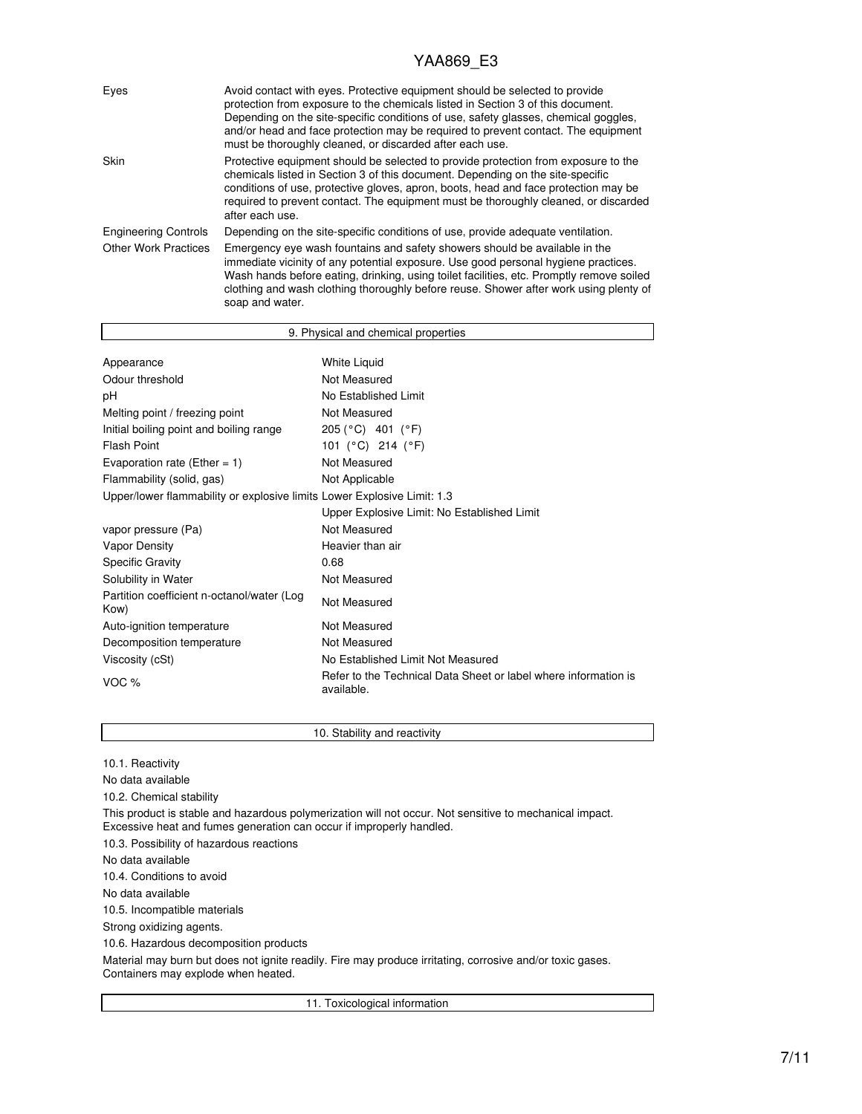| Eyes                        | Avoid contact with eyes. Protective equipment should be selected to provide<br>protection from exposure to the chemicals listed in Section 3 of this document.<br>Depending on the site-specific conditions of use, safety glasses, chemical goggles,<br>and/or head and face protection may be required to prevent contact. The equipment<br>must be thoroughly cleaned, or discarded after each use. |
|-----------------------------|--------------------------------------------------------------------------------------------------------------------------------------------------------------------------------------------------------------------------------------------------------------------------------------------------------------------------------------------------------------------------------------------------------|
| Skin                        | Protective equipment should be selected to provide protection from exposure to the<br>chemicals listed in Section 3 of this document. Depending on the site-specific<br>conditions of use, protective gloves, apron, boots, head and face protection may be<br>required to prevent contact. The equipment must be thoroughly cleaned, or discarded<br>after each use.                                  |
| <b>Engineering Controls</b> | Depending on the site-specific conditions of use, provide adequate ventilation.                                                                                                                                                                                                                                                                                                                        |
| <b>Other Work Practices</b> | Emergency eye wash fountains and safety showers should be available in the<br>immediate vicinity of any potential exposure. Use good personal hygiene practices.<br>Wash hands before eating, drinking, using toilet facilities, etc. Promptly remove soiled<br>clothing and wash clothing thoroughly before reuse. Shower after work using plenty of<br>soap and water.                               |

| 9. Physical and chemical properties                                     |                                                                               |  |
|-------------------------------------------------------------------------|-------------------------------------------------------------------------------|--|
|                                                                         |                                                                               |  |
| Appearance                                                              | White Liquid                                                                  |  |
| Odour threshold                                                         | Not Measured                                                                  |  |
| рH                                                                      | No Established Limit                                                          |  |
| Melting point / freezing point                                          | Not Measured                                                                  |  |
| Initial boiling point and boiling range                                 | 205 (°C) 401 (°F)                                                             |  |
| Flash Point                                                             | 101 (°C) 214 (°F)                                                             |  |
| Evaporation rate (Ether = $1$ )                                         | Not Measured                                                                  |  |
| Flammability (solid, gas)                                               | Not Applicable                                                                |  |
| Upper/lower flammability or explosive limits Lower Explosive Limit: 1.3 |                                                                               |  |
|                                                                         | Upper Explosive Limit: No Established Limit                                   |  |
| vapor pressure (Pa)                                                     | Not Measured                                                                  |  |
| Vapor Density                                                           | Heavier than air                                                              |  |
| <b>Specific Gravity</b>                                                 | 0.68                                                                          |  |
| Solubility in Water                                                     | Not Measured                                                                  |  |
| Partition coefficient n-octanol/water (Log<br>Kow)                      | Not Measured                                                                  |  |
| Auto-ignition temperature                                               | Not Measured                                                                  |  |
| Decomposition temperature                                               | Not Measured                                                                  |  |
| Viscosity (cSt)                                                         | No Established Limit Not Measured                                             |  |
| VOC $%$                                                                 | Refer to the Technical Data Sheet or label where information is<br>available. |  |

10. Stability and reactivity 10.1. Reactivity No data available 10.2. Chemical stability This product is stable and hazardous polymerization will not occur. Not sensitive to mechanical impact. Excessive heat and fumes generation can occur if improperly handled. 10.3. Possibility of hazardous reactions No data available 10.4. Conditions to avoid No data available 10.5. Incompatible materials Strong oxidizing agents. 10.6. Hazardous decomposition products Material may burn but does not ignite readily. Fire may produce irritating, corrosive and/or toxic gases. Containers may explode when heated. 11. Toxicological information

7/11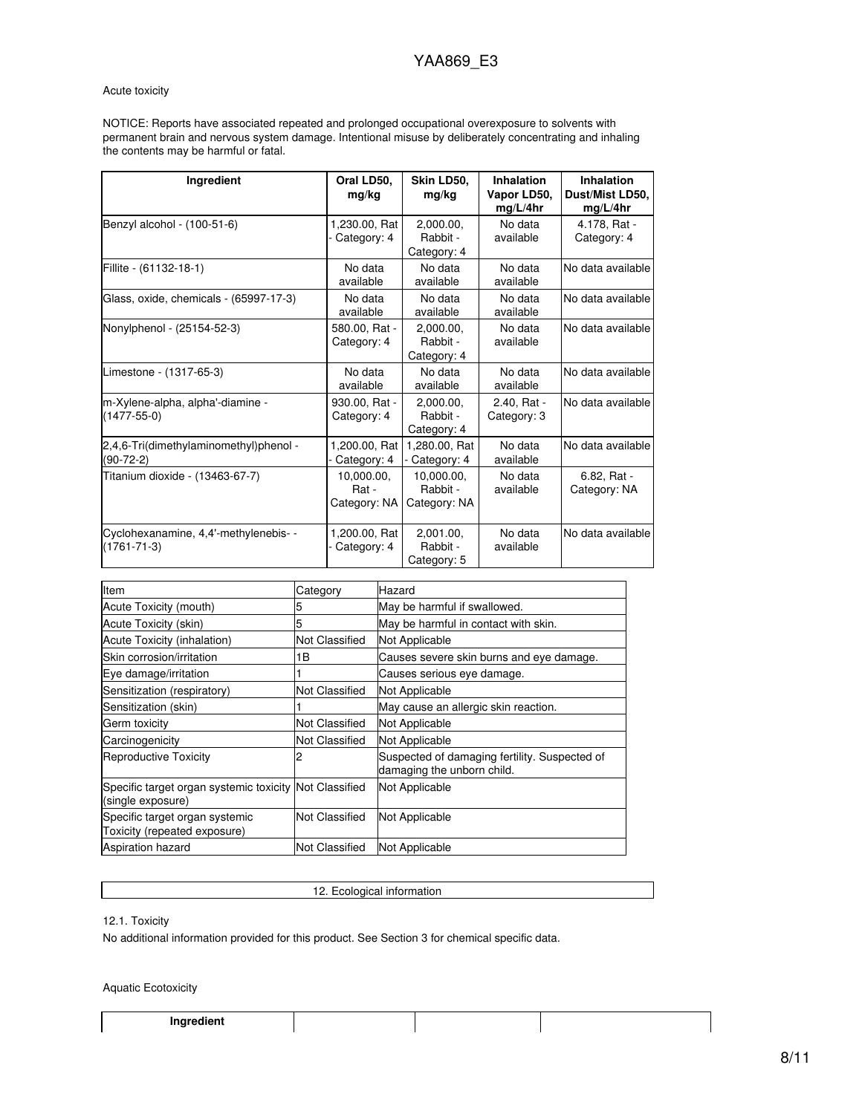### Acute toxicity

NOTICE: Reports have associated repeated and prolonged occupational overexposure to solvents with permanent brain and nervous system damage. Intentional misuse by deliberately concentrating and inhaling the contents may be harmful or fatal.

| Ingredient                                                 | Oral LD50,<br>mg/kg                 | Skin LD50,<br>mg/kg                    | <b>Inhalation</b><br>Vapor LD50,<br>mg/L/4hr | Inhalation<br>Dust/Mist LD50,<br>mg/L/4hr |
|------------------------------------------------------------|-------------------------------------|----------------------------------------|----------------------------------------------|-------------------------------------------|
| Benzyl alcohol - (100-51-6)                                | 1,230.00, Rat<br>Category: 4        | 2.000.00.<br>Rabbit -<br>Category: 4   | No data<br>available                         | 4.178. Rat -<br>Category: 4               |
| Fillite - (61132-18-1)                                     | No data<br>available                | No data<br>available                   | No data<br>available                         | No data available                         |
| Glass, oxide, chemicals - (65997-17-3)                     | No data<br>available                | No data<br>available                   | No data<br>available                         | No data available                         |
| Nonylphenol - (25154-52-3)                                 | 580.00, Rat -<br>Category: 4        | 2.000.00.<br>Rabbit -<br>Category: 4   | No data<br>available                         | No data available                         |
| Limestone - (1317-65-3)                                    | No data<br>available                | No data<br>available                   | No data<br>available                         | No data available                         |
| m-Xylene-alpha, alpha'-diamine -<br>$(1477 - 55 - 0)$      | 930.00, Rat -<br>Category: 4        | 2.000.00.<br>Rabbit -<br>Category: 4   | 2.40, Rat -<br>Category: 3                   | No data available                         |
| 2,4,6-Tri(dimethylaminomethyl)phenol -<br>$(90-72-2)$      | 1,200.00, Rat<br>Category: 4        | 1,280.00, Rat<br>Category: 4           | No data<br>available                         | No data available                         |
| Titanium dioxide - (13463-67-7)                            | 10.000.00.<br>Rat -<br>Category: NA | 10.000.00.<br>Rabbit -<br>Category: NA | No data<br>available                         | 6.82. Rat -<br>Category: NA               |
| Cyclohexanamine, 4,4'-methylenebis- -<br>$(1761 - 71 - 3)$ | 1,200.00, Rat<br>Category: 4        | 2,001.00,<br>Rabbit -<br>Category: 5   | No data<br>available                         | No data available                         |

| Item                                                                        | Category              | Hazard                                                                      |
|-----------------------------------------------------------------------------|-----------------------|-----------------------------------------------------------------------------|
| Acute Toxicity (mouth)                                                      |                       | May be harmful if swallowed.                                                |
| Acute Toxicity (skin)                                                       | 5                     | May be harmful in contact with skin.                                        |
| <b>Acute Toxicity (inhalation)</b>                                          | <b>Not Classified</b> | Not Applicable                                                              |
| Skin corrosion/irritation                                                   | 1В                    | Causes severe skin burns and eye damage.                                    |
| Eye damage/irritation                                                       |                       | Causes serious eye damage.                                                  |
| Sensitization (respiratory)                                                 | Not Classified        | Not Applicable                                                              |
| Sensitization (skin)                                                        |                       | May cause an allergic skin reaction.                                        |
| Germ toxicity                                                               | Not Classified        | Not Applicable                                                              |
| Carcinogenicity                                                             | Not Classified        | Not Applicable                                                              |
| <b>Reproductive Toxicity</b>                                                |                       | Suspected of damaging fertility. Suspected of<br>damaging the unborn child. |
| Specific target organ systemic toxicity Not Classified<br>(single exposure) |                       | Not Applicable                                                              |
| Specific target organ systemic<br>Toxicity (repeated exposure)              | Not Classified        | Not Applicable                                                              |
| <b>Aspiration hazard</b>                                                    | <b>Not Classified</b> | Not Applicable                                                              |

### 12. Ecological information

12.1. Toxicity

No additional information provided for this product. See Section 3 for chemical specific data.

Aquatic Ecotoxicity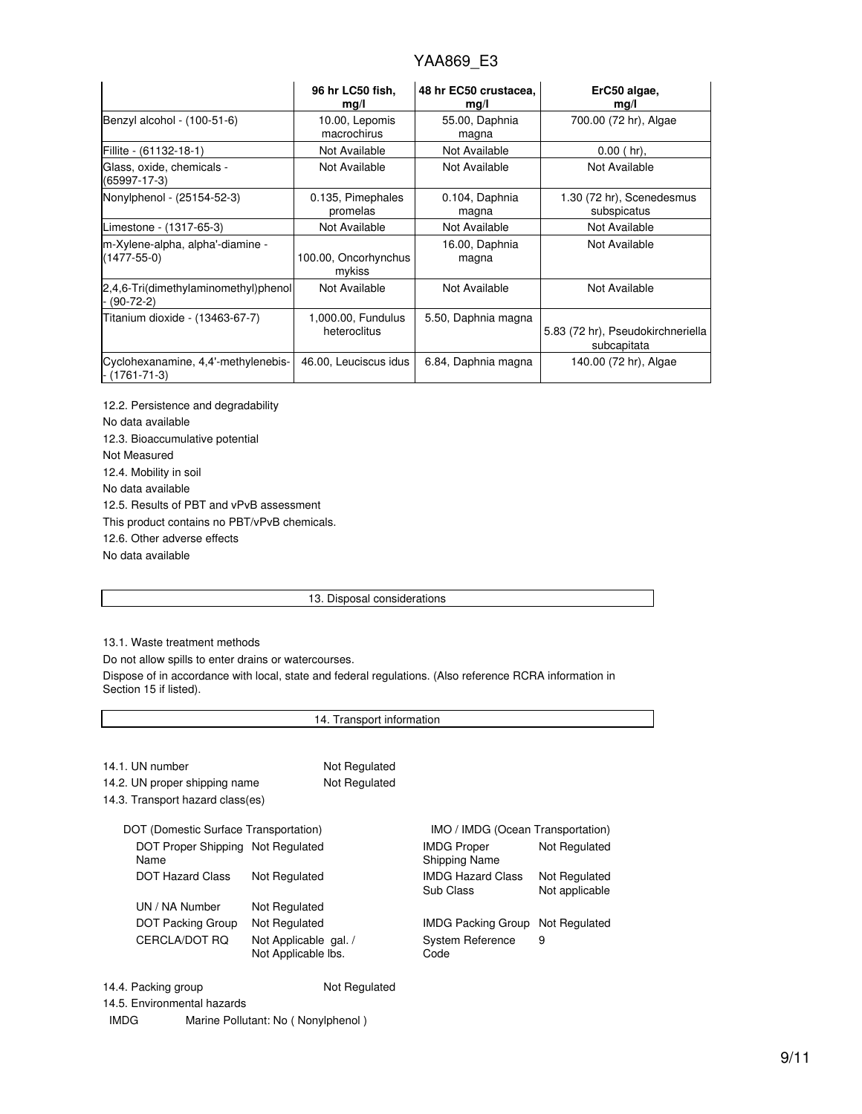|                                                       | 96 hr LC50 fish,<br>mg/l           | 48 hr EC50 crustacea,<br>mg/l | ErC50 algae,<br>mg/l                             |
|-------------------------------------------------------|------------------------------------|-------------------------------|--------------------------------------------------|
| Benzyl alcohol - (100-51-6)                           | 10.00, Lepomis<br>macrochirus      | 55.00, Daphnia<br>magna       | 700.00 (72 hr), Algae                            |
| Fillite - (61132-18-1)                                | Not Available                      | Not Available                 | $0.00$ (hr),                                     |
| Glass, oxide, chemicals -<br>(65997-17-3)             | Not Available                      | Not Available                 | Not Available                                    |
| Nonylphenol - (25154-52-3)                            | 0.135, Pimephales<br>promelas      | 0.104, Daphnia<br>magna       | 1.30 (72 hr), Scenedesmus<br>subspicatus         |
| Limestone - (1317-65-3)                               | Not Available                      | Not Available                 | Not Available                                    |
| m-Xylene-alpha, alpha'-diamine -<br>$(1477 - 55 - 0)$ | 100.00, Oncorhynchus<br>mykiss     | 16.00, Daphnia<br>magna       | Not Available                                    |
| 2,4,6-Tri(dimethylaminomethyl)phenol<br>$(90-72-2)$   | Not Available                      | Not Available                 | Not Available                                    |
| Titanium dioxide - (13463-67-7)                       | 1,000.00, Fundulus<br>heteroclitus | 5.50, Daphnia magna           | 5.83 (72 hr), Pseudokirchneriella<br>subcapitata |
| Cyclohexanamine, 4,4'-methylenebis-<br>- (1761-71-3)  | 46.00, Leuciscus idus              | 6.84, Daphnia magna           | 140.00 (72 hr), Algae                            |

12.2. Persistence and degradability No data available 12.3. Bioaccumulative potential Not Measured 12.4. Mobility in soil No data available 12.5. Results of PBT and vPvB assessment This product contains no PBT/vPvB chemicals. 12.6. Other adverse effects No data available

## 13. Disposal considerations

13.1. Waste treatment methods

Do not allow spills to enter drains or watercourses.

Dispose of in accordance with local, state and federal regulations. (Also reference RCRA information in Section 15 if listed).

| 14. Transport information                 |                                              |               |                                       |                                 |
|-------------------------------------------|----------------------------------------------|---------------|---------------------------------------|---------------------------------|
|                                           |                                              |               |                                       |                                 |
| 14.1. UN number                           |                                              | Not Regulated |                                       |                                 |
| 14.2. UN proper shipping name             |                                              | Not Regulated |                                       |                                 |
| 14.3. Transport hazard class(es)          |                                              |               |                                       |                                 |
| DOT (Domestic Surface Transportation)     |                                              |               | IMO / IMDG (Ocean Transportation)     |                                 |
| DOT Proper Shipping Not Regulated<br>Name |                                              |               | IMDG Proper<br>Shipping Name          | Not Regulated                   |
| <b>DOT Hazard Class</b>                   | Not Regulated                                |               | <b>IMDG Hazard Class</b><br>Sub Class | Not Regulated<br>Not applicable |
| UN / NA Number                            | Not Regulated                                |               |                                       |                                 |
| DOT Packing Group                         | Not Regulated                                |               | IMDG Packing Group                    | Not Regulated                   |
| CERCLA/DOT RO                             | Not Applicable gal. /<br>Not Applicable Ibs. |               | System Reference<br>Code              | 9                               |
| 14.4. Packing group                       |                                              | Not Regulated |                                       |                                 |
| 14.5. Environmental hazards               |                                              |               |                                       |                                 |

IMDG Marine Pollutant: No ( Nonylphenol )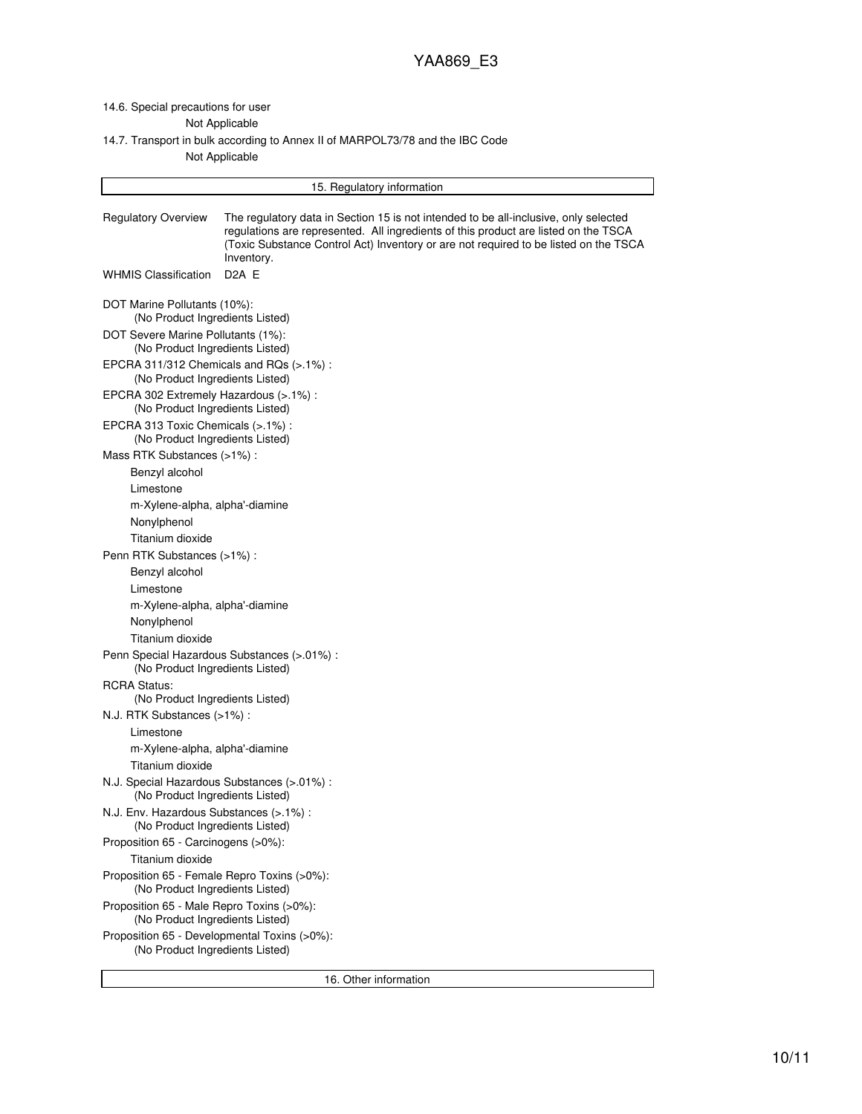# 14.6. Special precautions for user

Not Applicable

## 14.7. Transport in bulk according to Annex II of MARPOL73/78 and the IBC Code Not Applicable

| 15. Regulatory information                                                      |                                                                                                                                                                                                                                                                                   |  |  |
|---------------------------------------------------------------------------------|-----------------------------------------------------------------------------------------------------------------------------------------------------------------------------------------------------------------------------------------------------------------------------------|--|--|
| <b>Regulatory Overview</b>                                                      | The regulatory data in Section 15 is not intended to be all-inclusive, only selected<br>regulations are represented. All ingredients of this product are listed on the TSCA<br>(Toxic Substance Control Act) Inventory or are not required to be listed on the TSCA<br>Inventory. |  |  |
| <b>WHMIS Classification</b>                                                     | D <sub>2</sub> A E                                                                                                                                                                                                                                                                |  |  |
| DOT Marine Pollutants (10%):<br>(No Product Ingredients Listed)                 |                                                                                                                                                                                                                                                                                   |  |  |
| DOT Severe Marine Pollutants (1%):<br>(No Product Ingredients Listed)           |                                                                                                                                                                                                                                                                                   |  |  |
| EPCRA 311/312 Chemicals and RQs (>.1%):<br>(No Product Ingredients Listed)      |                                                                                                                                                                                                                                                                                   |  |  |
| EPCRA 302 Extremely Hazardous (>.1%) :<br>(No Product Ingredients Listed)       |                                                                                                                                                                                                                                                                                   |  |  |
| EPCRA 313 Toxic Chemicals (>.1%) :<br>(No Product Ingredients Listed)           |                                                                                                                                                                                                                                                                                   |  |  |
| Mass RTK Substances (>1%):                                                      |                                                                                                                                                                                                                                                                                   |  |  |
| Benzyl alcohol                                                                  |                                                                                                                                                                                                                                                                                   |  |  |
| Limestone                                                                       |                                                                                                                                                                                                                                                                                   |  |  |
| m-Xylene-alpha, alpha'-diamine                                                  |                                                                                                                                                                                                                                                                                   |  |  |
| Nonylphenol<br>Titanium dioxide                                                 |                                                                                                                                                                                                                                                                                   |  |  |
| Penn RTK Substances (>1%) :                                                     |                                                                                                                                                                                                                                                                                   |  |  |
| Benzyl alcohol                                                                  |                                                                                                                                                                                                                                                                                   |  |  |
| Limestone                                                                       |                                                                                                                                                                                                                                                                                   |  |  |
| m-Xylene-alpha, alpha'-diamine                                                  |                                                                                                                                                                                                                                                                                   |  |  |
| Nonylphenol                                                                     |                                                                                                                                                                                                                                                                                   |  |  |
| Titanium dioxide                                                                |                                                                                                                                                                                                                                                                                   |  |  |
| (No Product Ingredients Listed)                                                 | Penn Special Hazardous Substances (>.01%) :                                                                                                                                                                                                                                       |  |  |
| <b>RCRA Status:</b>                                                             |                                                                                                                                                                                                                                                                                   |  |  |
| (No Product Ingredients Listed)<br>N.J. RTK Substances (>1%):                   |                                                                                                                                                                                                                                                                                   |  |  |
| Limestone                                                                       |                                                                                                                                                                                                                                                                                   |  |  |
| m-Xylene-alpha, alpha'-diamine                                                  |                                                                                                                                                                                                                                                                                   |  |  |
| Titanium dioxide                                                                |                                                                                                                                                                                                                                                                                   |  |  |
| N.J. Special Hazardous Substances (> 01%) :<br>(No Product Ingredients Listed)  |                                                                                                                                                                                                                                                                                   |  |  |
| N.J. Env. Hazardous Substances (>.1%) :<br>(No Product Ingredients Listed)      |                                                                                                                                                                                                                                                                                   |  |  |
| Proposition 65 - Carcinogens (>0%):                                             |                                                                                                                                                                                                                                                                                   |  |  |
| Titanium dioxide                                                                |                                                                                                                                                                                                                                                                                   |  |  |
| Proposition 65 - Female Repro Toxins (>0%):<br>(No Product Ingredients Listed)  |                                                                                                                                                                                                                                                                                   |  |  |
| Proposition 65 - Male Repro Toxins (>0%):<br>(No Product Ingredients Listed)    |                                                                                                                                                                                                                                                                                   |  |  |
| Proposition 65 - Developmental Toxins (>0%):<br>(No Product Ingredients Listed) |                                                                                                                                                                                                                                                                                   |  |  |

16. Other information